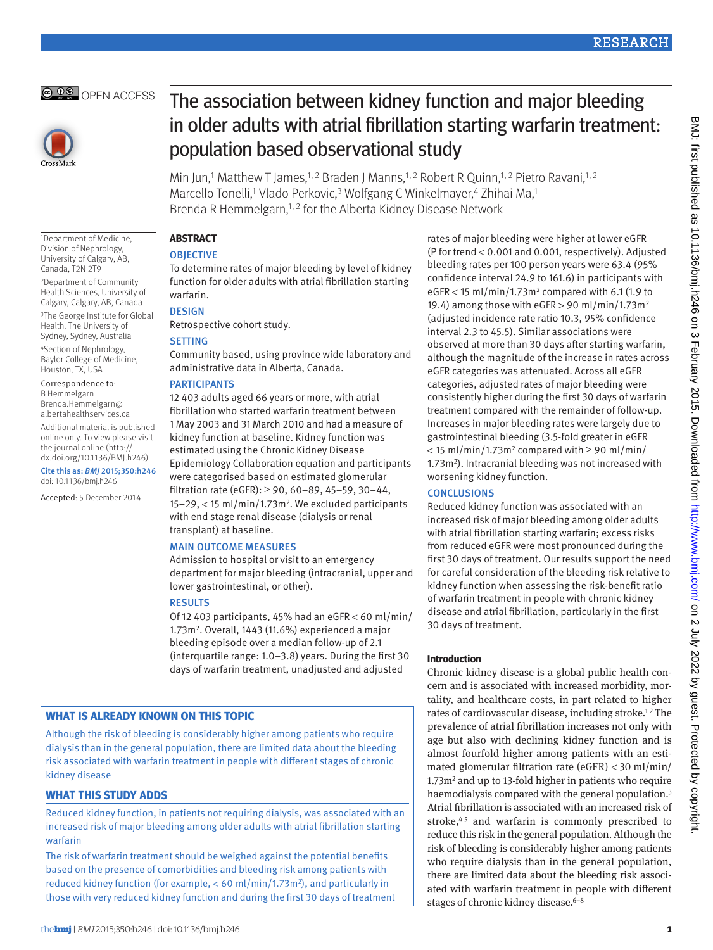## [open access](http://creativecommons.org/licenses/by-nc/4.0/)

1Department of Medicine, Division of Nephrology, University of Calgary, AB, Canada, T2N 2T9 2Department of Community Health Sciences, University of Calgary, Calgary, AB, Canada 3The George Institute for Global Health, The University of Sydney, Sydney, Australia 4Section of Nephrology, Baylor College of Medicine, Houston, TX, USA Correspondence to: B Hemmelgarn Brenda.Hemmelgarn@ albertahealthservices.ca Additional material is published online only. To view please visit the journal online (http:// dx.doi.org/10.1136/BMJ.h246) Cite this as: BMJ 2015;350:h246 doi: 10.1136/bmj.h246 Accepted: 5 December 2014



# The association between kidney function and major bleeding in older adults with atrial fibrillation starting warfarin treatment: population based observational study

Min Jun,<sup>1</sup> Matthew T James,<sup>1, 2</sup> Braden J Manns,<sup>1, 2</sup> Robert R Quinn,<sup>1, 2</sup> Pietro Ravani,<sup>1, 2</sup> Marcello Tonelli,<sup>1</sup> Vlado Perkovic,<sup>3</sup> Wolfgang C Winkelmayer,<sup>4</sup> Zhihai Ma,<sup>1</sup> Brenda R Hemmelgarn,<sup>1, 2</sup> for the Alberta Kidney Disease Network

## **Abstract**

## **OBJECTIVE**

To determine rates of major bleeding by level of kidney function for older adults with atrial fibrillation starting warfarin.

#### **DESIGN**

Retrospective cohort study.

#### **SETTING**

Community based, using province wide laboratory and administrative data in Alberta, Canada.

#### **PARTICIPANTS**

12 403 adults aged 66 years or more, with atrial fibrillation who started warfarin treatment between 1 May 2003 and 31 March 2010 and had a measure of kidney function at baseline. Kidney function was estimated using the Chronic Kidney Disease Epidemiology Collaboration equation and participants were categorised based on estimated glomerular filtration rate (eGFR): ≥ 90, 60–89, 45–59, 30–44, 15–29, < 15 ml/min/1.73m2. We excluded participants with end stage renal disease (dialysis or renal transplant) at baseline.

#### **MAIN OUTCOME MEASURES**

Admission to hospital or visit to an emergency department for major bleeding (intracranial, upper and lower gastrointestinal, or other).

#### **RESULTS**

Of 12 403 participants, 45% had an eGFR < 60 ml/min/ 1.73m2. Overall, 1443 (11.6%) experienced a major bleeding episode over a median follow-up of 2.1 (interquartile range: 1.0–3.8) years. During the first 30 days of warfarin treatment, unadjusted and adjusted

## **What is already known on this topic**

Although the risk of bleeding is considerably higher among patients who require dialysis than in the general population, there are limited data about the bleeding risk associated with warfarin treatment in people with different stages of chronic kidney disease

## **What this study adds**

Reduced kidney function, in patients not requiring dialysis, was associated with an increased risk of major bleeding among older adults with atrial fibrillation starting warfarin

The risk of warfarin treatment should be weighed against the potential benefits based on the presence of comorbidities and bleeding risk among patients with reduced kidney function (for example, < 60 ml/min/1.73m2), and particularly in those with very reduced kidney function and during the first 30 days of treatment rates of major bleeding were higher at lower eGFR (P for trend < 0.001 and 0.001, respectively). Adjusted bleeding rates per 100 person years were 63.4 (95% confidence interval 24.9 to 161.6) in participants with eGFR < 15 ml/min/1.73m2 compared with 6.1 (1.9 to 19.4) among those with eGFR  $> 90$  ml/min/1.73m<sup>2</sup> (adjusted incidence rate ratio 10.3, 95% confidence interval 2.3 to 45.5). Similar associations were observed at more than 30 days after starting warfarin, although the magnitude of the increase in rates across eGFR categories was attenuated. Across all eGFR categories, adjusted rates of major bleeding were consistently higher during the first 30 days of warfarin treatment compared with the remainder of follow-up. Increases in major bleeding rates were largely due to gastrointestinal bleeding (3.5-fold greater in eGFR  $<$  15 ml/min/1.73m<sup>2</sup> compared with  $\geq$  90 ml/min/ 1.73m<sup>2</sup>). Intracranial bleeding was not increased with worsening kidney function.

## **CONCLUSIONS**

Reduced kidney function was associated with an increased risk of major bleeding among older adults with atrial fibrillation starting warfarin; excess risks from reduced eGFR were most pronounced during the first 30 days of treatment. Our results support the need for careful consideration of the bleeding risk relative to kidney function when assessing the risk-benefit ratio of warfarin treatment in people with chronic kidney disease and atrial fibrillation, particularly in the first 30 days of treatment.

## **Introduction**

Chronic kidney disease is a global public health concern and is associated with increased morbidity, mortality, and healthcare costs, in part related to higher rates of cardiovascular disease, including stroke.<sup>12</sup> The prevalence of atrial fibrillation increases not only with age but also with declining kidney function and is almost fourfold higher among patients with an estimated glomerular filtration rate (eGFR) < 30 ml/min/ 1.73m2 and up to 13-fold higher in patients who require haemodialysis compared with the general population.<sup>3</sup> Atrial fibrillation is associated with an increased risk of stroke,<sup>45</sup> and warfarin is commonly prescribed to reduce this risk in the general population. Although the risk of bleeding is considerably higher among patients who require dialysis than in the general population, there are limited data about the bleeding risk associated with warfarin treatment in people with different stages of chronic kidney disease.<sup>6-8</sup>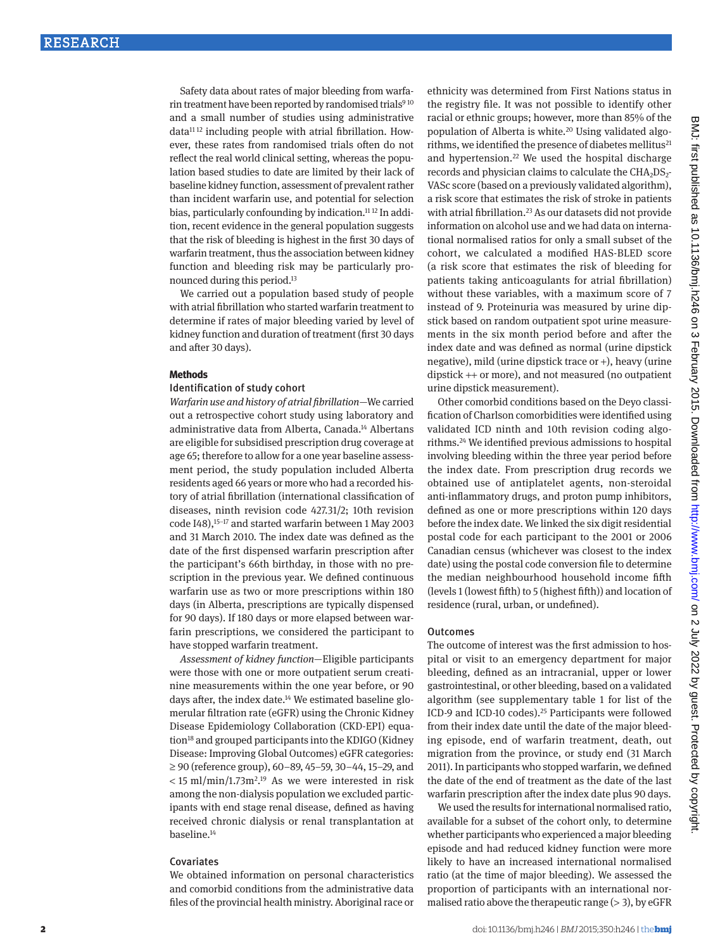Safety data about rates of major bleeding from warfarin treatment have been reported by randomised trials<sup>910</sup> and a small number of studies using administrative data11 12 including people with atrial fibrillation. However, these rates from randomised trials often do not reflect the real world clinical setting, whereas the population based studies to date are limited by their lack of baseline kidney function, assessment of prevalent rather than incident warfarin use, and potential for selection bias, particularly confounding by indication.11 12 In addition, recent evidence in the general population suggests that the risk of bleeding is highest in the first 30 days of warfarin treatment, thus the association between kidney function and bleeding risk may be particularly pronounced during this period.13

We carried out a population based study of people with atrial fibrillation who started warfarin treatment to determine if rates of major bleeding varied by level of kidney function and duration of treatment (first 30 days and after 30 days).

#### **Methods**

#### Identification of study cohort

Warfarin use and history of atrial fibrillation—We carried out a retrospective cohort study using laboratory and administrative data from Alberta, Canada.14 Albertans are eligible for subsidised prescription drug coverage at age 65; therefore to allow for a one year baseline assessment period, the study population included Alberta residents aged 66 years or more who had a recorded history of atrial fibrillation (international classification of diseases, ninth revision code 427.31/2; 10th revision code I48),<sup>15-17</sup> and started warfarin between 1 May 2003 and 31 March 2010. The index date was defined as the date of the first dispensed warfarin prescription after the participant's 66th birthday, in those with no prescription in the previous year. We defined continuous warfarin use as two or more prescriptions within 180 days (in Alberta, prescriptions are typically dispensed for 90 days). If 180 days or more elapsed between warfarin prescriptions, we considered the participant to have stopped warfarin treatment.

Assessment of kidney function—Eligible participants were those with one or more outpatient serum creatinine measurements within the one year before, or 90 days after, the index date.<sup>14</sup> We estimated baseline glomerular filtration rate (eGFR) using the Chronic Kidney Disease Epidemiology Collaboration (CKD-EPI) equation<sup>18</sup> and grouped participants into the KDIGO (Kidney Disease: Improving Global Outcomes) eGFR categories: ≥ 90 (reference group), 60–89, 45–59, 30–44, 15–29, and  $<$  15 ml/min/1.73m<sup>2</sup>.<sup>19</sup> As we were interested in risk among the non-dialysis population we excluded participants with end stage renal disease, defined as having received chronic dialysis or renal transplantation at baseline.14

#### Covariates

We obtained information on personal characteristics and comorbid conditions from the administrative data files of the provincial health ministry. Aboriginal race or

ethnicity was determined from First Nations status in the registry file. It was not possible to identify other racial or ethnic groups; however, more than 85% of the population of Alberta is white.<sup>20</sup> Using validated algorithms, we identified the presence of diabetes mellitus<sup>21</sup> and hypertension.22 We used the hospital discharge records and physician claims to calculate the  $CHA<sub>2</sub>DS<sub>2</sub>$ -VASc score (based on a previously validated algorithm), a risk score that estimates the risk of stroke in patients with atrial fibrillation.<sup>23</sup> As our datasets did not provide information on alcohol use and we had data on international normalised ratios for only a small subset of the cohort, we calculated a modified HAS-BLED score (a risk score that estimates the risk of bleeding for patients taking anticoagulants for atrial fibrillation) without these variables, with a maximum score of 7 instead of 9. Proteinuria was measured by urine dipstick based on random outpatient spot urine measurements in the six month period before and after the index date and was defined as normal (urine dipstick negative), mild (urine dipstick trace or +), heavy (urine dipstick ++ or more), and not measured (no outpatient urine dipstick measurement).

Other comorbid conditions based on the Deyo classification of Charlson comorbidities were identified using validated ICD ninth and 10th revision coding algorithms.24 We identified previous admissions to hospital involving bleeding within the three year period before the index date. From prescription drug records we obtained use of antiplatelet agents, non-steroidal anti-inflammatory drugs, and proton pump inhibitors, defined as one or more prescriptions within 120 days before the index date. We linked the six digit residential postal code for each participant to the 2001 or 2006 Canadian census (whichever was closest to the index date) using the postal code conversion file to determine the median neighbourhood household income fifth (levels 1 (lowest fifth) to 5 (highest fifth)) and location of residence (rural, urban, or undefined).

#### **Outcomes**

The outcome of interest was the first admission to hospital or visit to an emergency department for major bleeding, defined as an intracranial, upper or lower gastrointestinal, or other bleeding, based on a validated algorithm (see supplementary table 1 for list of the ICD-9 and ICD-10 codes).<sup>25</sup> Participants were followed from their index date until the date of the major bleeding episode, end of warfarin treatment, death, out migration from the province, or study end (31 March 2011). In participants who stopped warfarin, we defined the date of the end of treatment as the date of the last warfarin prescription after the index date plus 90 days.

We used the results for international normalised ratio, available for a subset of the cohort only, to determine whether participants who experienced a major bleeding episode and had reduced kidney function were more likely to have an increased international normalised ratio (at the time of major bleeding). We assessed the proportion of participants with an international normalised ratio above the therapeutic range  $(> 3)$ , by eGFR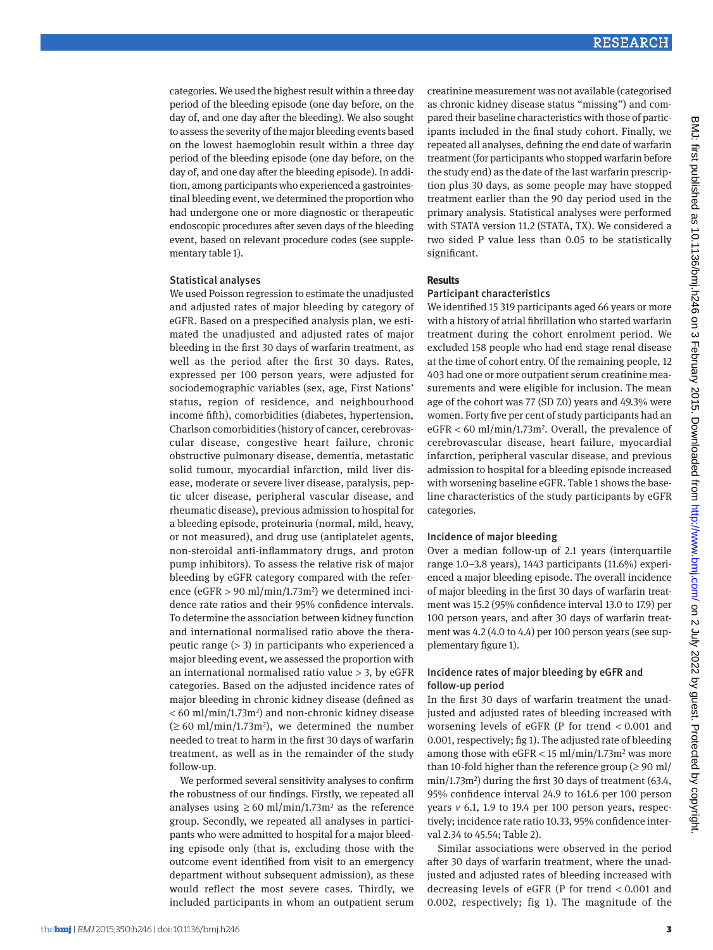categories. We used the highest result within a three day period of the bleeding episode (one day before, on the day of, and one day after the bleeding). We also sought to assess the severity of the major bleeding events based on the lowest haemoglobin result within a three day period of the bleeding episode (one day before, on the day of, and one day after the bleeding episode). In addition, among participants who experienced a gastrointestinal bleeding event, we determined the proportion who had undergone one or more diagnostic or therapeutic endoscopic procedures after seven days of the bleeding event, based on relevant procedure codes (see supplementary table 1).

#### Statistical analyses

We used Poisson regression to estimate the unadjusted and adjusted rates of major bleeding by category of eGFR. Based on a prespecified analysis plan, we estimated the unadjusted and adjusted rates of major bleeding in the first 30 days of warfarin treatment, as well as the period after the first 30 days. Rates, expressed per 100 person years, were adjusted for sociodemographic variables (sex, age, First Nations' status, region of residence, and neighbourhood income fifth), comorbidities (diabetes, hypertension, Charlson comorbidities (history of cancer, cerebrovascular disease, congestive heart failure, chronic obstructive pulmonary disease, dementia, metastatic solid tumour, myocardial infarction, mild liver disease, moderate or severe liver disease, paralysis, peptic ulcer disease, peripheral vascular disease, and rheumatic disease), previous admission to hospital for a bleeding episode, proteinuria (normal, mild, heavy, or not measured), and drug use (antiplatelet agents, non-steroidal anti-inflammatory drugs, and proton pump inhibitors). To assess the relative risk of major bleeding by eGFR category compared with the reference (eGFR  $> 90$  ml/min/1.73m<sup>2</sup>) we determined incidence rate ratios and their 95% confidence intervals. To determine the association between kidney function and international normalised ratio above the therapeutic range (> 3) in participants who experienced a major bleeding event, we assessed the proportion with an international normalised ratio value  $>$  3, by eGFR categories. Based on the adjusted incidence rates of major bleeding in chronic kidney disease (defined as < 60 ml/min/1.73m2) and non-chronic kidney disease  $(\geq 60 \text{ ml/min}/1.73 \text{ m}^2)$ , we determined the number needed to treat to harm in the first 30 days of warfarin treatment, as well as in the remainder of the study follow-up.

We performed several sensitivity analyses to confirm the robustness of our findings. Firstly, we repeated all analyses using  $\geq 60 \text{ ml/min}/1.73 \text{ m}^2$  as the reference group. Secondly, we repeated all analyses in participants who were admitted to hospital for a major bleeding episode only (that is, excluding those with the outcome event identified from visit to an emergency department without subsequent admission), as these would reflect the most severe cases. Thirdly, we included participants in whom an outpatient serum creatinine measurement was not available (categorised as chronic kidney disease status "missing") and compared their baseline characteristics with those of participants included in the final study cohort. Finally, we repeated all analyses, defining the end date of warfarin treatment (for participants who stopped warfarin before the study end) as the date of the last warfarin prescription plus 30 days, as some people may have stopped treatment earlier than the 90 day period used in the primary analysis. Statistical analyses were performed with STATA version 11.2 (STATA, TX). We considered a two sided P value less than 0.05 to be statistically significant.

#### **Results**

#### Participant characteristics

We identified 15 319 participants aged 66 years or more with a history of atrial fibrillation who started warfarin treatment during the cohort enrolment period. We excluded 158 people who had end stage renal disease at the time of cohort entry. Of the remaining people, 12 403 had one or more outpatient serum creatinine measurements and were eligible for inclusion. The mean age of the cohort was 77 (SD 7.0) years and 49.3% were women. Forty five per cent of study participants had an eGFR < 60 ml/min/1.73m2. Overall, the prevalence of cerebrovascular disease, heart failure, myocardial infarction, peripheral vascular disease, and previous admission to hospital for a bleeding episode increased with worsening baseline eGFR. Table [1](#page-3-0) shows the baseline characteristics of the study participants by eGFR categories.

#### Incidence of major bleeding

Over a median follow-up of 2.1 years (interquartile range 1.0–3.8 years), 1443 participants (11.6%) experienced a major bleeding episode. The overall incidence of major bleeding in the first 30 days of warfarin treatment was 15.2 (95% confidence interval 13.0 to 17.9) per 100 person years, and after 30 days of warfarin treatment was 4.2 (4.0 to 4.4) per 100 person years (see supplementary figure 1).

#### Incidence rates of major bleeding by eGFR and follow-up period

In the first 30 days of warfarin treatment the unadjusted and adjusted rates of bleeding increased with worsening levels of eGFR (P for trend < 0.001 and 0.001, respectively; fig [1\)](#page-5-0). The adjusted rate of bleeding among those with  $e$ GFR < 15 ml/min/1.73m<sup>2</sup> was more than 10-fold higher than the reference group  $(≥ 90$  ml/ min/1.73m<sup>2</sup>) during the first 30 days of treatment (63.4, 95% confidence interval 24.9 to 161.6 per 100 person years  $v$  6.1, 1.9 to 19.4 per 100 person years, respectively; incidence rate ratio 10.33, 95% confidence interval 2.34 to 45.54; Table 2).

Similar associations were observed in the period after 30 days of warfarin treatment, where the unadjusted and adjusted rates of bleeding increased with decreasing levels of eGFR (P for trend < 0.001 and 0.002, respectively; fig [1\)](#page-5-0). The magnitude of the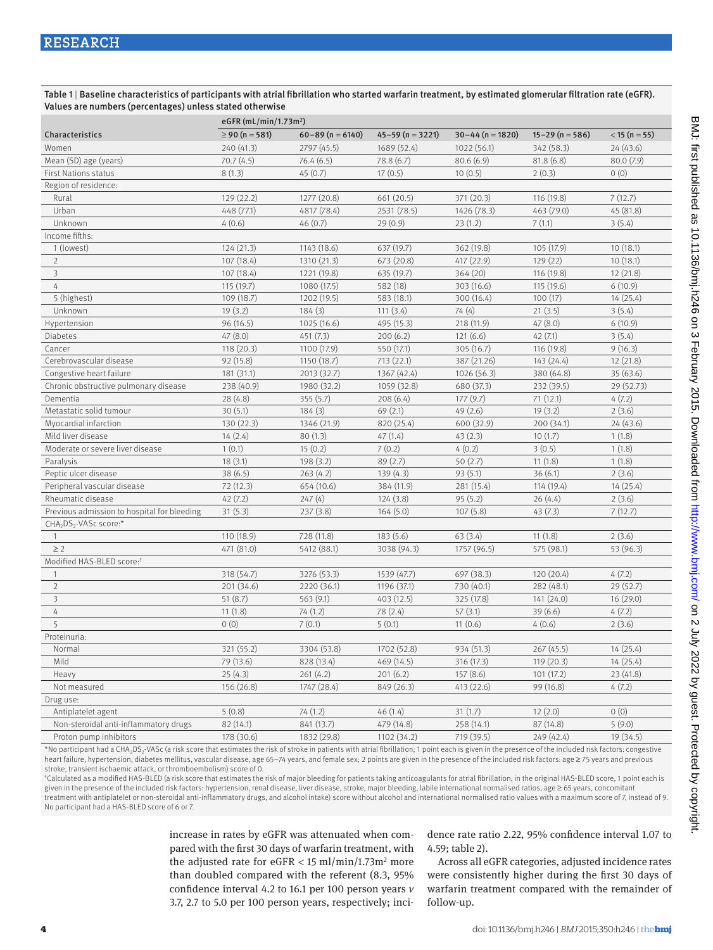<span id="page-3-0"></span>Table 1 | Baseline characteristics of participants with atrial fibrillation who started warfarin treatment, by estimated glomerular filtration rate (eGFR). Values are numbers (percentages) unless stated otherwise

|                                                | eGFR (mL/min/1.73m <sup>2</sup> ) |                      |                      |                      |                     |                 |
|------------------------------------------------|-----------------------------------|----------------------|----------------------|----------------------|---------------------|-----------------|
| Characteristics                                | $\geq$ 90 (n = 581)               | $60 - 89$ (n = 6140) | $45 - 59$ (n = 3221) | $30 - 44$ (n = 1820) | $15 - 29$ (n = 586) | $<$ 15 (n = 55) |
| Women                                          | 240 (41.3)                        | 2797 (45.5)          | 1689 (52.4)          | 1022(56.1)           | 342 (58.3)          | 24(43.6)        |
| Mean (SD) age (years)                          | 70.7(4.5)                         | 76.4(6.5)            | 78.8 (6.7)           | 80.6(6.9)            | 81.8(6.8)           | 80.0(7.9)       |
| <b>First Nations status</b>                    | 8(1.3)                            | 45(0.7)              | 17(0.5)              | 10(0.5)              | 2(0.3)              | 0(0)            |
| Region of residence:                           |                                   |                      |                      |                      |                     |                 |
| Rural                                          | 129 (22.2)                        | 1277 (20.8)          | 661 (20.5)           | 371 (20.3)           | 116 (19.8)          | 7(12.7)         |
| Urban                                          | 448 (77.1)                        | 4817 (78.4)          | 2531 (78.5)          | 1426 (78.3)          | 463 (79.0)          | 45 (81.8)       |
| Unknown                                        | 4(0.6)                            | 46(0.7)              | 29(0.9)              | 23(1.2)              | 7(1.1)              | 3(5.4)          |
| Income fifths:                                 |                                   |                      |                      |                      |                     |                 |
| 1 (lowest)                                     | 124(21.3)                         | 1143 (18.6)          | 637 (19.7)           | 362 (19.8)           | 105 (17.9)          | 10(18.1)        |
| $\overline{2}$                                 | 107(18.4)                         | 1310 (21.3)          | 673 (20.8)           | 417 (22.9)           | 129(22)             | 10(18.1)        |
| 3                                              | 107(18.4)                         | 1221 (19.8)          | 635 (19.7)           | 364 (20)             | 116 (19.8)          | 12(21.8)        |
| 4                                              | 115(19.7)                         | 1080 (17.5)          | 582 (18)             | 303 (16.6)           | 115 (19.6)          | 6(10.9)         |
| 5 (highest)                                    | 109 (18.7)                        | 1202 (19.5)          | 583 (18.1)           | 300 (16.4)           | 100(17)             | 14(25.4)        |
| Unknown                                        | 19(3.2)                           | 184(3)               | 111(3.4)             | 74(4)                | 21(3.5)             | 3(5.4)          |
| Hypertension                                   | 96 (16.5)                         | 1025 (16.6)          | 495 (15.3)           | 218 (11.9)           | 47(8.0)             | 6(10.9)         |
| Diabetes                                       | 47(8.0)                           | 451 (7.3)            | 200(6.2)             | 121(6.6)             | 42(7.1)             | 3(5.4)          |
| Cancer                                         | 118(20.3)                         | 1100 (17.9)          | 550 (17.1)           | 305 (16.7)           | 116 (19.8)          | 9(16.3)         |
| Cerebrovascular disease                        | 92 (15.8)                         | 1150 (18.7)          | 713 (22.1)           | 387 (21.26)          | 143(24.4)           | 12(21.8)        |
| Congestive heart failure                       | 181 (31.1)                        | 2013 (32.7)          | 1367 (42.4)          | 1026(56.3)           | 380 (64.8)          | 35(63.6)        |
| Chronic obstructive pulmonary disease          | 238 (40.9)                        | 1980 (32.2)          | 1059 (32.8)          | 680 (37.3)           | 232 (39.5)          | 29 (52.73)      |
| Dementia                                       | 28(4.8)                           | 355(5.7)             | 208(6.4)             | 177(9.7)             | 71(12.1)            | 4(7.2)          |
| Metastatic solid tumour                        | 30(5.1)                           | 184(3)               | 69(2.1)              | 49(2.6)              | 19(3.2)             | 2(3.6)          |
| Myocardial infarction                          | 130(22.3)                         | 1346 (21.9)          | 820 (25.4)           | 600 (32.9)           | 200(34.1)           | 24 (43.6)       |
| Mild liver disease                             | 14(2.4)                           | 80(1.3)              | 47(1.4)              | 43(2.3)              | 10(1.7)             | 1(1.8)          |
| Moderate or severe liver disease               | 1(0.1)                            | 15(0.2)              | 7(0.2)               | 4(0.2)               | 3(0.5)              | 1(1.8)          |
| Paralysis                                      | 18(3.1)                           | 198(3.2)             | 89(2.7)              | 50(2.7)              | 11(1.8)             | 1(1.8)          |
| Peptic ulcer disease                           | 38(6.5)                           | 263(4.2)             | 139(4.3)             | 93(5.1)              | 36(6.1)             | 2(3.6)          |
| Peripheral vascular disease                    | 72 (12.3)                         | 654 (10.6)           | 384 (11.9)           | 281 (15.4)           | 114 (19.4)          | 14(25.4)        |
| Rheumatic disease                              | 42(7.2)                           | 247(4)               | 124(3.8)             | 95(5.2)              | 26(4.4)             | 2(3.6)          |
| Previous admission to hospital for bleeding    | 31(5.3)                           | 237(3.8)             | 164(5.0)             | 107(5.8)             | 43(7.3)             | 7(12.7)         |
| CHA <sub>2</sub> DS <sub>2</sub> -VASc score:* |                                   |                      |                      |                      |                     |                 |
| $\overline{1}$                                 | 110 (18.9)                        | 728 (11.8)           | 183(5.6)             | 63(3.4)              | 11(1.8)             | 2(3.6)          |
| $\geq$ 2                                       | 471 (81.0)                        | 5412 (88.1)          | 3038 (94.3)          | 1757 (96.5)          | 575 (98.1)          | 53(96.3)        |
| Modified HAS-BLED score: <sup>†</sup>          |                                   |                      |                      |                      |                     |                 |
| $\overline{1}$                                 | 318 (54.7)                        | 3276 (53.3)          | 1539 (47.7)          | 697 (38.3)           | 120(20.4)           | 4(7.2)          |
| $\overline{2}$                                 | 201 (34.6)                        | 2220 (36.1)          | 1196 (37.1)          | 730 (40.1)           | 282(48.1)           | 29(52.7)        |
| 3                                              | 51(8.7)                           | 563(9.1)             | 403 (12.5)           | 325 (17.8)           | 141(24.0)           | 16(29.0)        |
| 4                                              | 11(1.8)                           | 74(1.2)              | 78(2.4)              | 57(3.1)              | 39(6.6)             | 4(7.2)          |
| 5                                              | 0(0)                              | 7(0.1)               | 5(0.1)               | 11(0.6)              | 4(0.6)              | 2(3.6)          |
| Proteinuria:                                   |                                   |                      |                      |                      |                     |                 |
| Normal                                         | 321 (55.2)                        | 3304 (53.8)          | 1702 (52.8)          | 934 (51.3)           | 267(45.5)           | 14(25.4)        |
| Mild                                           | 79 (13.6)                         | 828 (13.4)           | 469 (14.5)           | 316 (17.3)           | 119 (20.3)          | 14(25.4)        |
| Heavy                                          | 25(4.3)                           | 261(4.2)             | 201(6.2)             | 157(8.6)             | 101(17.2)           | 23 (41.8)       |
| Not measured                                   | 156 (26.8)                        | 1747 (28.4)          | 849 (26.3)           | 413 (22.6)           | 99(16.8)            | 4(7.2)          |
| Drug use:                                      |                                   |                      |                      |                      |                     |                 |
| Antiplatelet agent                             | 5(0.8)                            | 74(1.2)              | 46(1.4)              | 31(1.7)              | 12(2.0)             | 0(0)            |
| Non-steroidal anti-inflammatory drugs          | 82 (14.1)                         | 841 (13.7)           | 479 (14.8)           | 258 (14.1)           | 87 (14.8)           | 5(9.0)          |
| Proton pump inhibitors                         | 178 (30.6)                        | 1832 (29.8)          | 1102 (34.2)          | 719 (39.5)           | 249 (42.4)          | 19 (34.5)       |

\*No participant had a CHA2DS2-VASc (a risk score that estimates the risk of stroke in patients with atrial fibrillation; 1 point each is given in the presence of the included risk factors: congestive heart failure, hypertension, diabetes mellitus, vascular disease, age 65–74 years, and female sex; 2 points are given in the presence of the included risk factors: age ≥ 75 years and previous stroke, transient ischaemic attack, or thromboembolism) score of 0.

†Calculated as a modified HAS-BLED (a risk score that estimates the risk of major bleeding for patients taking anticoagulants for atrial fibrillation; in the original HAS-BLED score, 1 point each is given in the presence of the included risk factors: hypertension, renal disease, liver disease, stroke, major bleeding, labile international normalised ratios, age ≥ 65 years, concomitant treatment with antiplatelet or non-steroidal anti-inflammatory drugs, and alcohol intake) score without alcohol and international normalised ratio values with a maximum score of 7, instead of 9. No participant had a HAS-BLED score of 6 or 7.

> increase in rates by eGFR was attenuated when compared with the first 30 days of warfarin treatment, with the adjusted rate for eGFR <  $15 \text{ ml/min}/1.73 \text{ m}^2$  more than doubled compared with the referent (8.3, 95% confidence interval 4.2 to 16.1 per 100 person years v 3.7, 2.7 to 5.0 per 100 person years, respectively; inci

dence rate ratio 2.22, 95% confidence interval 1.07 to 4.59; table 2).

Across all eGFR categories, adjusted incidence rates were consistently higher during the first 30 days of warfarin treatment compared with the remainder of follow-up.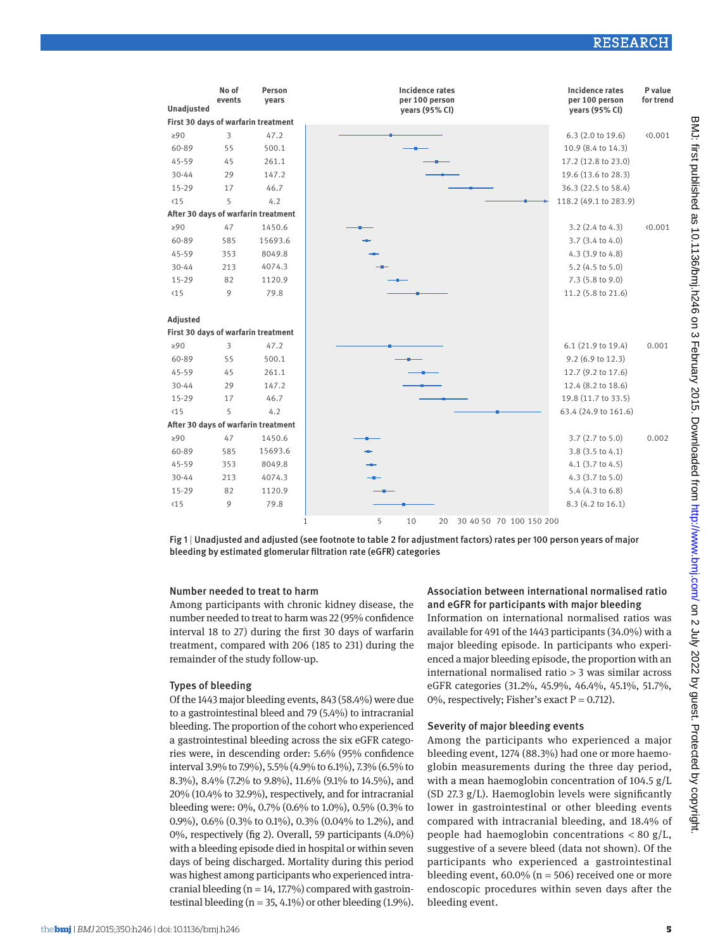## RESEARCH



Fig 1 | Unadjusted and adjusted (see footnote to table 2 for adjustment factors) rates per 100 person years of major bleeding by estimated glomerular filtration rate (eGFR) categories

#### Number needed to treat to harm

Among participants with chronic kidney disease, the number needed to treat to harm was 22 (95% confidence interval 18 to 27) during the first 30 days of warfarin treatment, compared with 206 (185 to 231) during the remainder of the study follow-up.

#### Types of bleeding

Of the 1443 major bleeding events, 843 (58.4%) were due to a gastrointestinal bleed and 79 (5.4%) to intracranial bleeding. The proportion of the cohort who experienced a gastrointestinal bleeding across the six eGFR categories were, in descending order: 5.6% (95% confidence interval 3.9% to 7.9%), 5.5% (4.9% to 6.1%), 7.3% (6.5% to 8.3%), 8.4% (7.2% to 9.8%), 11.6% (9.1% to 14.5%), and 20% (10.4% to 32.9%), respectively, and for intracranial bleeding were: 0%, 0.7% (0.6% to 1.0%), 0.5% (0.3% to 0.9%), 0.6% (0.3% to 0.1%), 0.3% (0.04% to 1.2%), and 0%, respectively (fig 2). Overall, 59 participants (4.0%) with a bleeding episode died in hospital or within seven days of being discharged. Mortality during this period was highest among participants who experienced intracranial bleeding ( $n = 14$ , 17.7%) compared with gastrointestinal bleeding ( $n = 35, 4.1\%$ ) or other bleeding (1.9%).

#### Association between international normalised ratio and eGFR for participants with major bleeding

Information on international normalised ratios was available for 491 of the 1443 participants (34.0%) with a major bleeding episode. In participants who experienced a major bleeding episode, the proportion with an international normalised ratio > 3 was similar across eGFR categories (31.2%, 45.9%, 46.4%, 45.1%, 51.7%, 0%, respectively; Fisher's exact  $P = 0.712$ ).

#### Severity of major bleeding events

Among the participants who experienced a major bleeding event, 1274 (88.3%) had one or more haemoglobin measurements during the three day period, with a mean haemoglobin concentration of 104.5 g/L (SD 27.3 g/L). Haemoglobin levels were significantly lower in gastrointestinal or other bleeding events compared with intracranial bleeding, and 18.4% of people had haemoglobin concentrations  $< 80 \text{ g/L}$ , suggestive of a severe bleed (data not shown). Of the participants who experienced a gastrointestinal bleeding event,  $60.0\%$  (n = 506) received one or more endoscopic procedures within seven days after the bleeding event.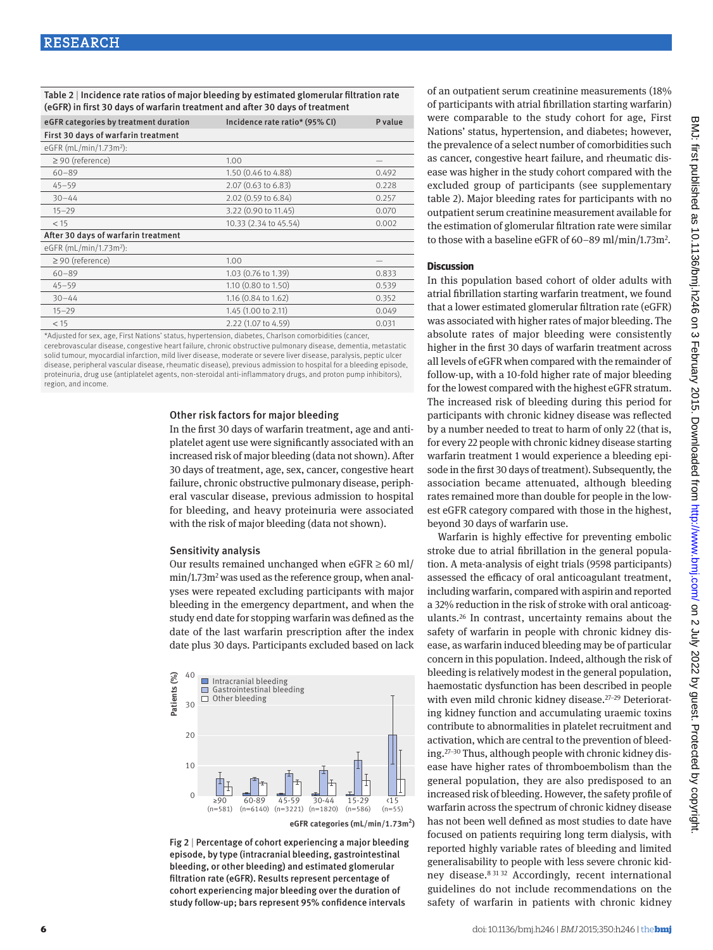Table 2 | Incidence rate ratios of major bleeding by estimated glomerular filtration rate (eGFR) in first 30 days of warfarin treatment and after 30 days of treatment

| eGFR categories by treatment duration | Incidence rate ratio* (95% CI) | P value |
|---------------------------------------|--------------------------------|---------|
| First 30 days of warfarin treatment   |                                |         |
| eGFR (mL/min/1.73m <sup>2</sup> ):    |                                |         |
| $\geq$ 90 (reference)                 | 1.00                           |         |
| $60 - 89$                             | 1.50 (0.46 to 4.88)            | 0.492   |
| $45 - 59$                             | 2.07 (0.63 to 6.83)            | 0.228   |
| $30 - 44$                             | 2.02 (0.59 to 6.84)            | 0.257   |
| $15 - 29$                             | 3.22 (0.90 to 11.45)           | 0.070   |
| < 15                                  | 10.33 (2.34 to 45.54)          | 0.002   |
| After 30 days of warfarin treatment   |                                |         |
| eGFR (mL/min/1.73m <sup>2</sup> ):    |                                |         |
| $\geq$ 90 (reference)                 | 1.00                           |         |
| $60 - 89$                             | 1.03 (0.76 to 1.39)            | 0.833   |
| $45 - 59$                             | 1.10 (0.80 to 1.50)            | 0.539   |
| $30 - 44$                             | 1.16 (0.84 to 1.62)            | 0.352   |
| $15 - 29$                             | 1.45 (1.00 to 2.11)            | 0.049   |
| < 15                                  | 2.22 (1.07 to 4.59)            | 0.031   |
|                                       |                                |         |

\*Adjusted for sex, age, First Nations' status, hypertension, diabetes, Charlson comorbidities (cancer, cerebrovascular disease, congestive heart failure, chronic obstructive pulmonary disease, dementia, metastatic solid tumour, myocardial infarction, mild liver disease, moderate or severe liver disease, paralysis, peptic ulcer disease, peripheral vascular disease, rheumatic disease), previous admission to hospital for a bleeding episode, proteinuria, drug use (antiplatelet agents, non-steroidal anti-inflammatory drugs, and proton pump inhibitors), region, and income.

#### Other risk factors for major bleeding

In the first 30 days of warfarin treatment, age and antiplatelet agent use were significantly associated with an increased risk of major bleeding (data not shown). After 30 days of treatment, age, sex, cancer, congestive heart failure, chronic obstructive pulmonary disease, peripheral vascular disease, previous admission to hospital for bleeding, and heavy proteinuria were associated with the risk of major bleeding (data not shown).

#### Sensitivity analysis

Our results remained unchanged when  $eGFR \ge 60$  ml/ min/1.73m<sup>2</sup> was used as the reference group, when analyses were repeated excluding participants with major bleeding in the emergency department, and when the study end date for stopping warfarin was defined as the date of the last warfarin prescription after the index date plus 30 days. Participants excluded based on lack



<span id="page-5-0"></span>Fig 2 | Percentage of cohort experiencing a major bleeding episode, by type (intracranial bleeding, gastrointestinal bleeding, or other bleeding) and estimated glomerular filtration rate (eGFR). Results represent percentage of cohort experiencing major bleeding over the duration of study follow-up; bars represent 95% confidence intervals

of an outpatient serum creatinine measurements (18% of participants with atrial fibrillation starting warfarin) were comparable to the study cohort for age, First Nations' status, hypertension, and diabetes; however, the prevalence of a select number of comorbidities such as cancer, congestive heart failure, and rheumatic disease was higher in the study cohort compared with the excluded group of participants (see supplementary table 2). Major bleeding rates for participants with no outpatient serum creatinine measurement available for the estimation of glomerular filtration rate were similar to those with a baseline eGFR of 60-89 ml/min/1.73m<sup>2</sup>.

#### **Discussion**

In this population based cohort of older adults with atrial fibrillation starting warfarin treatment, we found that a lower estimated glomerular filtration rate (eGFR) was associated with higher rates of major bleeding. The absolute rates of major bleeding were consistently higher in the first 30 days of warfarin treatment across all levels of eGFR when compared with the remainder of follow-up, with a 10-fold higher rate of major bleeding for the lowest compared with the highest eGFR stratum. The increased risk of bleeding during this period for participants with chronic kidney disease was reflected by a number needed to treat to harm of only 22 (that is, for every 22 people with chronic kidney disease starting warfarin treatment 1 would experience a bleeding episode in the first 30 days of treatment). Subsequently, the association became attenuated, although bleeding rates remained more than double for people in the lowest eGFR category compared with those in the highest, beyond 30 days of warfarin use.

Warfarin is highly effective for preventing embolic stroke due to atrial fibrillation in the general population. A meta-analysis of eight trials (9598 participants) assessed the efficacy of oral anticoagulant treatment, including warfarin, compared with aspirin and reported a 32% reduction in the risk of stroke with oral anticoagulants.26 In contrast, uncertainty remains about the safety of warfarin in people with chronic kidney disease, as warfarin induced bleeding may be of particular concern in this population. Indeed, although the risk of bleeding is relatively modest in the general population, haemostatic dysfunction has been described in people with even mild chronic kidney disease.<sup>27-29</sup> Deteriorating kidney function and accumulating uraemic toxins contribute to abnormalities in platelet recruitment and activation, which are central to the prevention of bleeding.27–30 Thus, although people with chronic kidney disease have higher rates of thromboembolism than the general population, they are also predisposed to an increased risk of bleeding. However, the safety profile of warfarin across the spectrum of chronic kidney disease has not been well defined as most studies to date have focused on patients requiring long term dialysis, with reported highly variable rates of bleeding and limited generalisability to people with less severe chronic kidney disease.8 <sup>31</sup> 32 Accordingly, recent international guidelines do not include recommendations on the safety of warfarin in patients with chronic kidney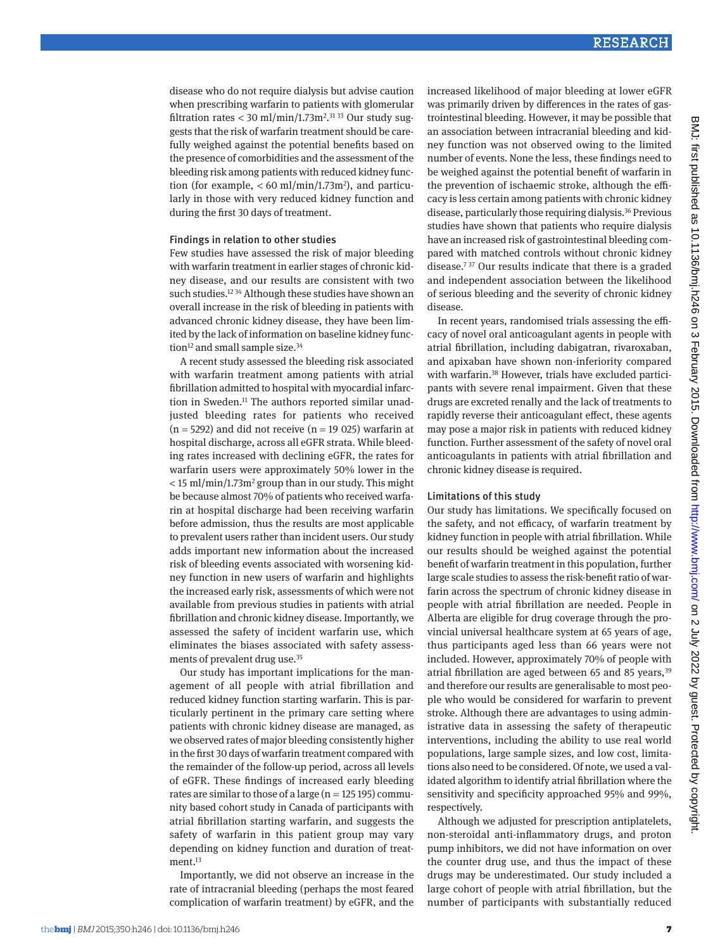disease who do not require dialysis but advise caution when prescribing warfarin to patients with glomerular filtration rates < 30 ml/min/1.73m<sup>2</sup>.<sup>31 33</sup> Our study suggests that the risk of warfarin treatment should be carefully weighed against the potential benefits based on the presence of comorbidities and the assessment of the bleeding risk among patients with reduced kidney function (for example,  $< 60$  ml/min/1.73m<sup>2</sup>), and particularly in those with very reduced kidney function and during the first 30 days of treatment.

#### Findings in relation to other studies

Few studies have assessed the risk of major bleeding with warfarin treatment in earlier stages of chronic kidney disease, and our results are consistent with two such studies.12 34 Although these studies have shown an overall increase in the risk of bleeding in patients with advanced chronic kidney disease, they have been limited by the lack of information on baseline kidney function<sup>12</sup> and small sample size.<sup>34</sup>

A recent study assessed the bleeding risk associated with warfarin treatment among patients with atrial fibrillation admitted to hospital with myocardial infarction in Sweden.<sup>11</sup> The authors reported similar unadjusted bleeding rates for patients who received  $(n = 5292)$  and did not receive  $(n = 19025)$  warfarin at hospital discharge, across all eGFR strata. While bleeding rates increased with declining eGFR, the rates for warfarin users were approximately 50% lower in the < 15 ml/min/1.73m<sup>2</sup> group than in our study. This might be because almost 70% of patients who received warfarin at hospital discharge had been receiving warfarin before admission, thus the results are most applicable to prevalent users rather than incident users. Our study adds important new information about the increased risk of bleeding events associated with worsening kidney function in new users of warfarin and highlights the increased early risk, assessments of which were not available from previous studies in patients with atrial fibrillation and chronic kidney disease. Importantly, we assessed the safety of incident warfarin use, which eliminates the biases associated with safety assessments of prevalent drug use.35

Our study has important implications for the management of all people with atrial fibrillation and reduced kidney function starting warfarin. This is particularly pertinent in the primary care setting where patients with chronic kidney disease are managed, as we observed rates of major bleeding consistently higher in the first 30 days of warfarin treatment compared with the remainder of the follow-up period, across all levels of eGFR. These findings of increased early bleeding rates are similar to those of a large  $(n = 125 195)$  community based cohort study in Canada of participants with atrial fibrillation starting warfarin, and suggests the safety of warfarin in this patient group may vary depending on kidney function and duration of treatment.13

Importantly, we did not observe an increase in the rate of intracranial bleeding (perhaps the most feared complication of warfarin treatment) by eGFR, and the

increased likelihood of major bleeding at lower eGFR was primarily driven by differences in the rates of gastrointestinal bleeding. However, it may be possible that an association between intracranial bleeding and kidney function was not observed owing to the limited number of events. None the less, these findings need to be weighed against the potential benefit of warfarin in the prevention of ischaemic stroke, although the efficacy is less certain among patients with chronic kidney disease, particularly those requiring dialysis.<sup>36</sup> Previous studies have shown that patients who require dialysis have an increased risk of gastrointestinal bleeding compared with matched controls without chronic kidney disease.7 37 Our results indicate that there is a graded and independent association between the likelihood of serious bleeding and the severity of chronic kidney disease.

In recent years, randomised trials assessing the efficacy of novel oral anticoagulant agents in people with atrial fibrillation, including dabigatran, rivaroxaban, and apixaban have shown non-inferiority compared with warfarin.38 However, trials have excluded participants with severe renal impairment. Given that these drugs are excreted renally and the lack of treatments to rapidly reverse their anticoagulant effect, these agents may pose a major risk in patients with reduced kidney function. Further assessment of the safety of novel oral anticoagulants in patients with atrial fibrillation and chronic kidney disease is required.

#### Limitations of this study

Our study has limitations. We specifically focused on the safety, and not efficacy, of warfarin treatment by kidney function in people with atrial fibrillation. While our results should be weighed against the potential benefit of warfarin treatment in this population, further large scale studies to assess the risk-benefit ratio of warfarin across the spectrum of chronic kidney disease in people with atrial fibrillation are needed. People in Alberta are eligible for drug coverage through the provincial universal healthcare system at 65 years of age, thus participants aged less than 66 years were not included. However, approximately 70% of people with atrial fibrillation are aged between 65 and 85 years,<sup>39</sup> and therefore our results are generalisable to most people who would be considered for warfarin to prevent stroke. Although there are advantages to using administrative data in assessing the safety of therapeutic interventions, including the ability to use real world populations, large sample sizes, and low cost, limitations also need to be considered. Of note, we used a validated algorithm to identify atrial fibrillation where the sensitivity and specificity approached 95% and 99%, respectively.

Although we adjusted for prescription antiplatelets, non-steroidal anti-inflammatory drugs, and proton pump inhibitors, we did not have information on over the counter drug use, and thus the impact of these drugs may be underestimated. Our study included a large cohort of people with atrial fibrillation, but the number of participants with substantially reduced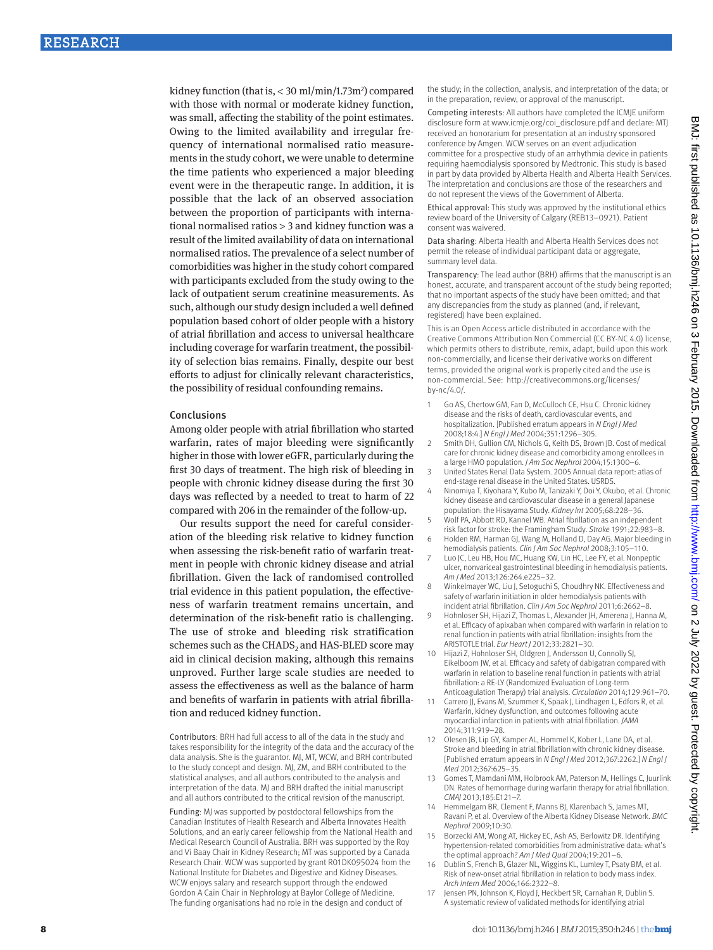kidney function (that is, < 30 ml/min/1.73m2 ) compared with those with normal or moderate kidney function, was small, affecting the stability of the point estimates. Owing to the limited availability and irregular frequency of international normalised ratio measurements in the study cohort, we were unable to determine the time patients who experienced a major bleeding event were in the therapeutic range. In addition, it is possible that the lack of an observed association between the proportion of participants with international normalised ratios > 3 and kidney function was a result of the limited availability of data on international normalised ratios. The prevalence of a select number of comorbidities was higher in the study cohort compared with participants excluded from the study owing to the lack of outpatient serum creatinine measurements. As such, although our study design included a well defined population based cohort of older people with a history of atrial fibrillation and access to universal healthcare including coverage for warfarin treatment, the possibility of selection bias remains. Finally, despite our best efforts to adjust for clinically relevant characteristics, the possibility of residual confounding remains.

#### Conclusions

Among older people with atrial fibrillation who started warfarin, rates of major bleeding were significantly higher in those with lower eGFR, particularly during the first 30 days of treatment. The high risk of bleeding in people with chronic kidney disease during the first 30 days was reflected by a needed to treat to harm of 22 compared with 206 in the remainder of the follow-up.

Our results support the need for careful consideration of the bleeding risk relative to kidney function when assessing the risk-benefit ratio of warfarin treatment in people with chronic kidney disease and atrial fibrillation. Given the lack of randomised controlled trial evidence in this patient population, the effectiveness of warfarin treatment remains uncertain, and determination of the risk-benefit ratio is challenging. The use of stroke and bleeding risk stratification schemes such as the CHADS<sub>2</sub> and HAS-BLED score may aid in clinical decision making, although this remains unproved. Further large scale studies are needed to assess the effectiveness as well as the balance of harm and benefits of warfarin in patients with atrial fibrillation and reduced kidney function.

Contributors: BRH had full access to all of the data in the study and takes responsibility for the integrity of the data and the accuracy of the data analysis. She is the guarantor. MJ, MT, WCW, and BRH contributed to the study concept and design. MJ, ZM, and BRH contributed to the statistical analyses, and all authors contributed to the analysis and interpretation of the data. MJ and BRH drafted the initial manuscript and all authors contributed to the critical revision of the manuscript.

Funding: MJ was supported by postdoctoral fellowships from the Canadian Institutes of Health Research and Alberta Innovates Health Solutions, and an early career fellowship from the National Health and Medical Research Council of Australia. BRH was supported by the Roy and Vi Baay Chair in Kidney Research; MT was supported by a Canada Research Chair. WCW was supported by grant R01DK095024 from the National Institute for Diabetes and Digestive and Kidney Diseases. WCW enjoys salary and research support through the endowed Gordon A Cain Chair in Nephrology at Baylor College of Medicine. The funding organisations had no role in the design and conduct of

the study; in the collection, analysis, and interpretation of the data; or in the preparation, review, or approval of the manuscript.

Competing interests: All authors have completed the ICMJE uniform disclosure form at www.icmje.org/coi\_disclosure.pdf and declare: MTJ received an honorarium for presentation at an industry sponsored conference by Amgen. WCW serves on an event adjudication committee for a prospective study of an arrhythmia device in patients requiring haemodialysis sponsored by Medtronic. This study is based in part by data provided by Alberta Health and Alberta Health Services. The interpretation and conclusions are those of the researchers and do not represent the views of the Government of Alberta.

Ethical approval: This study was approved by the institutional ethics review board of the University of Calgary (REB13–0921). Patient consent was waivered.

Data sharing: Alberta Health and Alberta Health Services does not permit the release of individual participant data or aggregate, summary level data.

Transparency: The lead author (BRH) affirms that the manuscript is an honest, accurate, and transparent account of the study being reported; that no important aspects of the study have been omitted; and that any discrepancies from the study as planned (and, if relevant, registered) have been explained.

This is an Open Access article distributed in accordance with the Creative Commons Attribution Non Commercial (CC BY-NC 4.0) license, which permits others to distribute, remix, adapt, build upon this work non-commercially, and license their derivative works on different terms, provided the original work is properly cited and the use is non-commercial. See: http://creativecommons.org/licenses/ by-nc/4.0/.

- 1 Go AS, Chertow GM, Fan D, McCulloch CE, Hsu C. Chronic kidney disease and the risks of death, cardiovascular events, and hospitalization. [Published erratum appears in N Engl J Med 2008;18:4.] N Engl J Med 2004;351:1296–305.
- Smith DH, Gullion CM, Nichols G, Keith DS, Brown JB. Cost of medical care for chronic kidney disease and comorbidity among enrollees in a large HMO population. J Am Soc Nephrol 2004;15:1300–6.
- 3 United States Renal Data System. 2005 Annual data report: atlas of end-stage renal disease in the United States. USRDS.
- 4 Ninomiya T, Kiyohara Y, Kubo M, Tanizaki Y, Doi Y, Okubo, et al. Chronic kidney disease and cardiovascular disease in a general Japanese population: the Hisayama Study. Kidney Int 2005;68:228–36.
- 5 Wolf PA, Abbott RD, Kannel WB. Atrial fibrillation as an independent risk factor for stroke: the Framingham Study. Stroke 1991;22:983–8.
- 6 Holden RM, Harman GJ, Wang M, Holland D, Day AG. Major bleeding in hemodialysis patients. Clin J Am Soc Nephrol 2008:3:105-110.
- Luo JC, Leu HB, Hou MC, Huang KW, Lin HC, Lee FY, et al. Nonpeptic ulcer, nonvariceal gastrointestinal bleeding in hemodialysis patients. Am J Med 2013;126:264.e225–32.
- 8 Winkelmayer WC, Liu J, Setoguchi S, Choudhry NK. Effectiveness and safety of warfarin initiation in older hemodialysis patients with incident atrial fibrillation. Clin J Am Soc Nephrol 2011;6:2662–8.
- 9 Hohnloser SH, Hijazi Z, Thomas L, Alexander JH, Amerena J, Hanna M, et al. Efficacy of apixaban when compared with warfarin in relation to renal function in patients with atrial fibrillation: insights from the ARISTOTLE trial. Eur Heart J 2012;33:2821–30.
- 10 Hijazi Z, Hohnloser SH, Oldgren J, Andersson U, Connolly SJ, Eikelboom JW, et al. Efficacy and safety of dabigatran compared with warfarin in relation to baseline renal function in patients with atrial fibrillation: a RE-LY (Randomized Evaluation of Long-term Anticoagulation Therapy) trial analysis. Circulation 2014;129:961–70.
- 11 Carrero JJ, Evans M, Szummer K, Spaak J, Lindhagen L, Edfors R, et al. Warfarin, kidney dysfunction, and outcomes following acute myocardial infarction in patients with atrial fibrillation. JAMA 2014;311:919–28.
- 12 Olesen JB, Lip GY, Kamper AL, Hommel K, Kober L, Lane DA, et al. Stroke and bleeding in atrial fibrillation with chronic kidney disease. [Published erratum appears in N Engl J Med 2012;367:2262.] N Engl J Med 2012;367:625–35.
- 13 Gomes T, Mamdani MM, Holbrook AM, Paterson M, Hellings C, Juurlink DN. Rates of hemorrhage during warfarin therapy for atrial fibrillation. CMAJ 2013;185:E121-7
- 14 Hemmelgarn BR, Clement F, Manns BJ, Klarenbach S, James MT, Ravani P, et al. Overview of the Alberta Kidney Disease Network. BMC Nephrol 2009;10:30.
- 15 Borzecki AM, Wong AT, Hickey EC, Ash AS, Berlowitz DR. Identifying hypertension-related comorbidities from administrative data: what's the optimal approach? Am J Med Qual 2004;19:201–6.
- 16 Dublin S, French B, Glazer NL, Wiggins KL, Lumley T, Psaty BM, et al. Risk of new-onset atrial fibrillation in relation to body mass index. Arch Intern Med 2006;166:2322–8.
- 17 Jensen PN, Johnson K, Floyd J, Heckbert SR, Carnahan R, Dublin S. A systematic review of validated methods for identifying atrial

BMJ: first published as 10.1136/bmj.h246 on 3 February 2015. Downloaded from http://www.bmj.com/ on 2 July 2022 by guest. Protected by copyright BMJ: first published as 10.1136/bmj.h246 on 3 February 2015. Downloaded from <http://www.bmj.com/> on 2 July 2022 by guest. Protected by copyright.